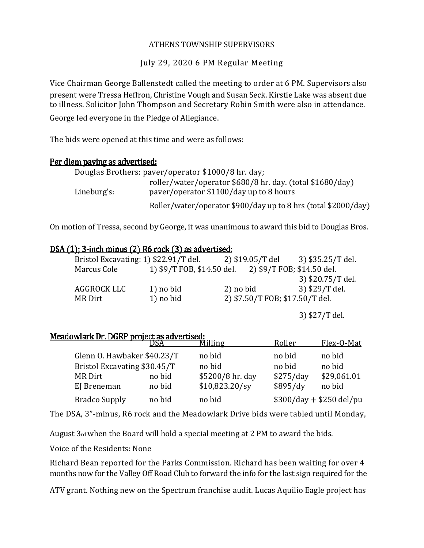### ATHENS TOWNSHIP SUPERVISORS

July 29, 2020 6 PM Regular Meeting

Vice Chairman George Ballenstedt called the meeting to order at 6 PM. Supervisors also present were Tressa Heffron, Christine Vough and Susan Seck. Kirstie Lake was absent due to illness. Solicitor John Thompson and Secretary Robin Smith were also in attendance.

George led everyone in the Pledge of Allegiance.

The bids were opened at this time and were as follows:

## Per diem paving as advertised:

| Douglas Brothers: paver/operator \$1000/8 hr. day; |                                                                |  |  |  |  |
|----------------------------------------------------|----------------------------------------------------------------|--|--|--|--|
|                                                    | roller/water/operator \$680/8 hr. day. (total \$1680/day)      |  |  |  |  |
| Lineburg's:                                        | paver/operator \$1100/day up to 8 hours                        |  |  |  |  |
|                                                    | Roller/water/operator \$900/day up to 8 hrs (total \$2000/day) |  |  |  |  |

On motion of Tressa, second by George, it was unanimous to award this bid to Douglas Bros.

# DSA (1); 3-inch minus (2) R6 rock (3) as advertised:

| Bristol Excavating: 1) \$22.91/T del. |                            | 2) \$19.05/T del                | 3) \$35.25/T del. |
|---------------------------------------|----------------------------|---------------------------------|-------------------|
| Marcus Cole                           | 1) \$9/T FOB, \$14.50 del. | 2) \$9/T FOB; \$14.50 del.      |                   |
|                                       |                            |                                 | 3) \$20.75/T del. |
| AGGROCK LLC                           | 1) no bid                  | 2) no bid                       | 3) \$29/T del.    |
| MR Dirt                               | 1) no bid                  | 2) \$7.50/T FOB; \$17.50/T del. |                   |
|                                       |                            |                                 |                   |

3) \$27/T del.

|                              | DSA    | Milling          | Roller    | Flex-O-Mat               |
|------------------------------|--------|------------------|-----------|--------------------------|
| Glenn O. Hawbaker \$40.23/T  |        | no bid           | no bid    | no bid                   |
| Bristol Excavating \$30.45/T |        | no bid           | no bid    | no bid                   |
| <b>MR</b> Dirt               | no bid | \$5200/8 hr. day | \$275/day | \$29,061.01              |
| EJ Breneman                  | no bid | $$10,823.20$ /sy | \$895/dy  | no bid                   |
| <b>Bradco Supply</b>         | no bid | no bid           |           | $$300/day + $250$ del/pu |

The DSA, 3"-minus, R6 rock and the Meadowlark Drive bids were tabled until Monday,

August 3rd when the Board will hold a special meeting at 2 PM to award the bids.

Voice of the Residents: None

Richard Bean reported for the Parks Commission. Richard has been waiting for over 4 months now for the Valley Off Road Club to forward the info for the last sign required for the

ATV grant. Nothing new on the Spectrum franchise audit. Lucas Aquilio Eagle project has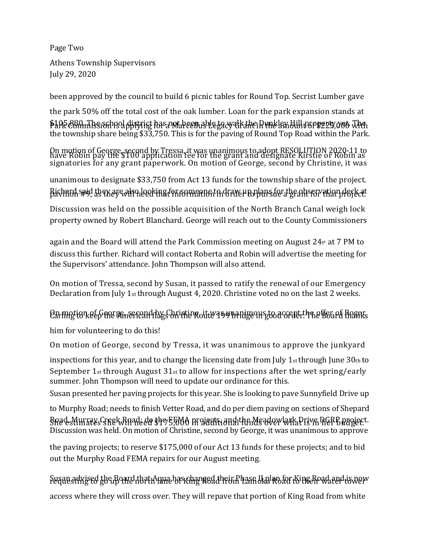Page Two Athens Township Supervisors July 29, 2020

been approved by the council to build 6 picnic tables for Round Top. Secrist Lumber gave

the park 50% off the total cost of the oak lumber. Loan for the park expansion stands at \$105,880. The school district has not been able to walk the Dunkley Hill property yet. The the township share being \$33,750. This is for the paving of Round Top Road within the Park.

On motion of George, second by Tressa, it was unanimous to adopt RESOLUTION 2020-11 to<br>have Robin pay the \$100 application fee for the grant and designate Kirstie or Robin as signatories for any grant paperwork. On motion of George, second by Christine, it was

unanimous to designate \$33,750 from Act 13 funds for the township share of the project. Richard said they are also looking for someone to draw up plans for the observation deck at

Discussion was held on the possible acquisition of the North Branch Canal weigh lock property owned by Robert Blanchard. George will reach out to the County Commissioners

again and the Board will attend the Park Commission meeting on August 24<sup>t</sup> <sup>h</sup> at 7 PM to discuss this further. Richard will contact Roberta and Robin will advertise the meeting for the Supervisors' attendance. John Thompson will also attend.

On motion of Tressa, second by Susan, it passed to ratify the renewal of our Emergency Declaration from July 1st through August 4, 2020. Christine voted no on the last 2 weeks.

# On motion of George and by Christine, it was unanimous to accept the offer of Rogers

him for volunteering to do this!

On motion of George, second by Tressa, it was unanimous to approve the junkyard

inspections for this year, and to change the licensing date from July  $1<sub>st</sub>$  through June  $30<sub>th</sub>$  to September 1st through August  $31$ st to allow for inspections after the wet spring/early summer. John Thompson will need to update our ordinance for this.

Susan presented her paving projects for this year. She is looking to pave Sunnyfield Drive up

to Murphy Road; needs to finish Vetter Road, and do per diem paving on sections of Shepard Road, Murray Creek Road; do the FEMA projects, and the Meadowlark Drive DGRP project. Discussion was held. On motion of Christine, second by George, it was unanimous to approve

the paving projects; to reserve \$175,000 of our Act 13 funds for these projects; and to bid out the Murphy Road FEMA repairs for our August meeting.

Susan advised the Board that Aqua has changed their Phase II plan for King Road and is now

access where they will cross over. They will repave that portion of King Road from white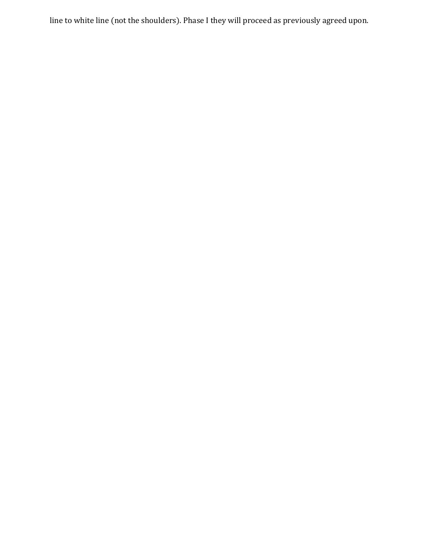line to white line (not the shoulders). Phase I they will proceed as previously agreed upon.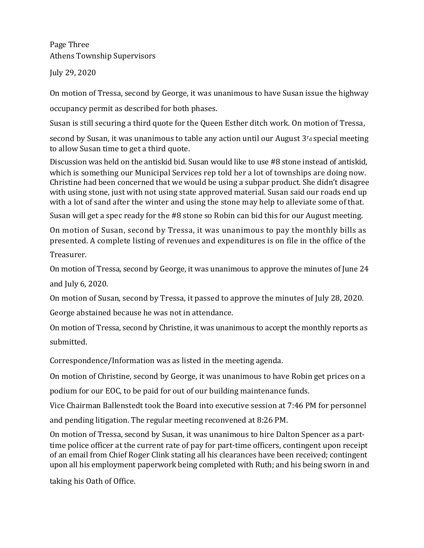Page Three Athens Township Supervisors

July 29, 2020

On motion of Tressa, second by George, it was unanimous to have Susan issue the highway

occupancy permit as described for both phases.

Susan is still securing a third quote for the Queen Esther ditch work. On motion of Tressa,

second by Susan, it was unanimous to table any action until our August  $3r_d$  special meeting to allow Susan time to get a third quote.

Discussion was held on the antiskid bid. Susan would like to use #8 stone instead of antiskid, which is something our Municipal Services rep told her a lot of townships are doing now. Christine had been concerned that we would be using a subpar product. She didn't disagree with using stone, just with not using state approved material. Susan said our roads end up with a lot of sand after the winter and using the stone may help to alleviate some of that.

Susan will get a spec ready for the #8 stone so Robin can bid this for our August meeting.

On motion of Susan, second by Tressa, it was unanimous to pay the monthly bills as presented. A complete listing of revenues and expenditures is on file in the office of the

Treasurer.

On motion of Tressa, second by George, it was unanimous to approve the minutes of June 24 and July 6, 2020.

On motion of Susan, second by Tressa, it passed to approve the minutes of July 28, 2020.

George abstained because he was not in attendance.

On motion of Tressa, second by Christine, it was unanimous to accept the monthly reports as submitted.

Correspondence/Information was as listed in the meeting agenda.

On motion of Christine, second by George, it was unanimous to have Robin get prices on a

podium for our EOC, to be paid for out of our building maintenance funds.

Vice Chairman Ballenstedt took the Board into executive session at 7:46 PM for personnel

and pending litigation. The regular meeting reconvened at 8:26 PM.

On motion of Tressa, second by Susan, it was unanimous to hire Dalton Spencer as a parttime police officer at the current rate of pay for part-time officers, contingent upon receipt of an email from Chief Roger Clink stating all his clearances have been received; contingent upon all his employment paperwork being completed with Ruth; and his being sworn in and

taking his Oath of Office.